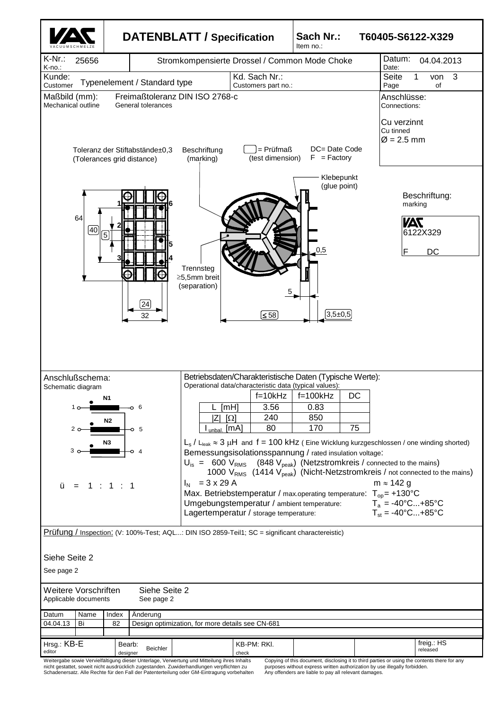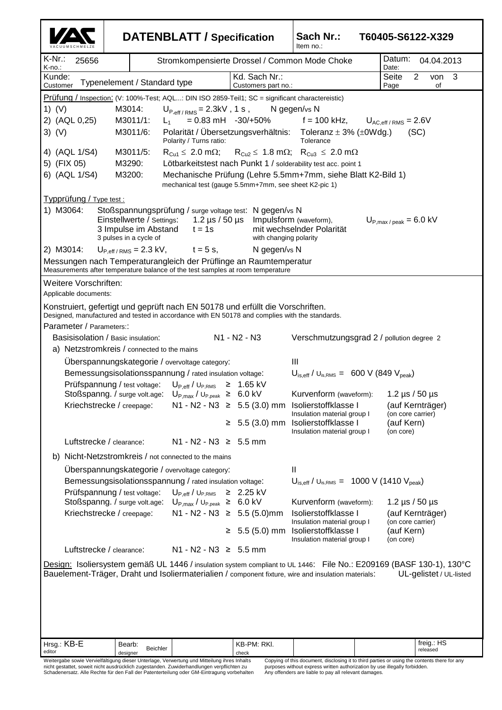|                                                                                                                                                                                                                                                       | <b>DATENBLATT / Specification</b>                                                                                                |                                                                                                                  |                                  | Sach Nr.:<br>Item no.:                                                                        | T60405-S6122-X329                     |  |
|-------------------------------------------------------------------------------------------------------------------------------------------------------------------------------------------------------------------------------------------------------|----------------------------------------------------------------------------------------------------------------------------------|------------------------------------------------------------------------------------------------------------------|----------------------------------|-----------------------------------------------------------------------------------------------|---------------------------------------|--|
| K-Nr.:<br>25656<br>K-no.:                                                                                                                                                                                                                             |                                                                                                                                  | Stromkompensierte Drossel / Common Mode Choke                                                                    |                                  |                                                                                               | Datum:<br>04.04.2013<br>Date:         |  |
| Kunde:<br>Customer                                                                                                                                                                                                                                    | Typenelement / Standard type                                                                                                     |                                                                                                                  | Customers part no.:              | Seite<br>2<br>3<br>von<br>of<br>Page                                                          |                                       |  |
| Prüfung / Inspection: (V: 100%-Test; AQL: DIN ISO 2859-Teil1; SC = significant charactereistic)                                                                                                                                                       |                                                                                                                                  |                                                                                                                  |                                  |                                                                                               |                                       |  |
| 1) $(V)$                                                                                                                                                                                                                                              | M3014:                                                                                                                           | $U_{P,eff/RMS}$ = 2.3kV, 1 s,                                                                                    |                                  | N gegen/vs N                                                                                  |                                       |  |
| 2) (AQL 0,25)                                                                                                                                                                                                                                         | M3011/1:                                                                                                                         | $L_{1}$                                                                                                          | $= 0.83 \text{ mH}$ -30/+50%     | $f = 100$ kHz,                                                                                | $U_{AC,eff/RMS}$ = 2.6V               |  |
| $3)$ (V)                                                                                                                                                                                                                                              | Polarität / Übersetzungsverhältnis: Toleranz $\pm$ 3% ( $\pm$ 0Wdg.)<br>M3011/6:<br>(SC)<br>Tolerance<br>Polarity / Turns ratio: |                                                                                                                  |                                  |                                                                                               |                                       |  |
| 4) (AQL 1/S4)                                                                                                                                                                                                                                         | M3011/5:                                                                                                                         |                                                                                                                  |                                  | $R_{Cu1} \leq 2.0$ m $\Omega$ ; $R_{Cu2} \leq 1.8$ m $\Omega$ ; $R_{Cu3} \leq 2.0$ m $\Omega$ |                                       |  |
| 5) (FIX 05)                                                                                                                                                                                                                                           | M3290:<br>Lötbarkeitstest nach Punkt 1 / solderability test acc. point 1                                                         |                                                                                                                  |                                  |                                                                                               |                                       |  |
| 6) (AQL 1/S4)                                                                                                                                                                                                                                         | M3200:<br>Mechanische Prüfung (Lehre 5.5mm+7mm, siehe Blatt K2-Bild 1)<br>mechanical test (gauge 5.5mm+7mm, see sheet K2-pic 1)  |                                                                                                                  |                                  |                                                                                               |                                       |  |
| Typprüfung / Type test :                                                                                                                                                                                                                              |                                                                                                                                  |                                                                                                                  |                                  |                                                                                               |                                       |  |
| 1) M3064:<br>Stoßspannungsprüfung / surge voltage test: N gegen/vs N                                                                                                                                                                                  |                                                                                                                                  |                                                                                                                  |                                  |                                                                                               |                                       |  |
| Einstellwerte / Settings:<br>1.2 $\mu$ s / 50 $\mu$ s<br>Impulsform (waveform),<br>$U_{\text{P,max}/\text{peak}} = 6.0 \text{ kV}$                                                                                                                    |                                                                                                                                  |                                                                                                                  |                                  |                                                                                               |                                       |  |
| 3 Impulse im Abstand<br>mit wechselnder Polarität<br>$t = 1s$<br>3 pulses in a cycle of<br>with changing polarity                                                                                                                                     |                                                                                                                                  |                                                                                                                  |                                  |                                                                                               |                                       |  |
| 2) M3014:<br>N gegen/vs N<br>$U_{P,eff/RMS}$ = 2.3 kV,<br>$t = 5$ s,                                                                                                                                                                                  |                                                                                                                                  |                                                                                                                  |                                  |                                                                                               |                                       |  |
| Messungen nach Temperaturangleich der Prüflinge an Raumtemperatur<br>Measurements after temperature balance of the test samples at room temperature                                                                                                   |                                                                                                                                  |                                                                                                                  |                                  |                                                                                               |                                       |  |
| Weitere Vorschriften:                                                                                                                                                                                                                                 |                                                                                                                                  |                                                                                                                  |                                  |                                                                                               |                                       |  |
| Applicable documents:                                                                                                                                                                                                                                 |                                                                                                                                  |                                                                                                                  |                                  |                                                                                               |                                       |  |
| Konstruiert, gefertigt und geprüft nach EN 50178 und erfüllt die Vorschriften.<br>Designed, manufactured and tested in accordance with EN 50178 and complies with the standards.                                                                      |                                                                                                                                  |                                                                                                                  |                                  |                                                                                               |                                       |  |
| Parameter / Parameters::                                                                                                                                                                                                                              |                                                                                                                                  |                                                                                                                  |                                  |                                                                                               |                                       |  |
| N1 - N2 - N3<br>Basisisolation / Basic insulation:<br>Verschmutzungsgrad 2 / pollution degree 2                                                                                                                                                       |                                                                                                                                  |                                                                                                                  |                                  |                                                                                               |                                       |  |
| a) Netzstromkreis / connected to the mains                                                                                                                                                                                                            |                                                                                                                                  |                                                                                                                  |                                  |                                                                                               |                                       |  |
| Überspannungskategorie / overvoltage category:<br>Ш                                                                                                                                                                                                   |                                                                                                                                  |                                                                                                                  |                                  |                                                                                               |                                       |  |
| $U_{\text{is,eff}}$ / $U_{\text{is,RMS}} = 600 \text{ V}$ (849 $V_{\text{peak}}$ )<br>Bemessungsisolationsspannung / rated insulation voltage:<br>Prüfspannung / test voltage:                                                                        |                                                                                                                                  |                                                                                                                  |                                  |                                                                                               |                                       |  |
|                                                                                                                                                                                                                                                       |                                                                                                                                  | $U_{P,eff}$ / $U_{P,RMS}$ $\geq$ 1.65 kV<br>Stoßspanng. / surge volt.age: $U_{P,max}$ / $U_{P,peak} \geq 6.0$ kV |                                  | Kurvenform (waveform):                                                                        | 1.2 $\mu$ s / 50 $\mu$ s              |  |
|                                                                                                                                                                                                                                                       | Kriechstrecke / creepage:                                                                                                        |                                                                                                                  |                                  | N1 - N2 - N3 $\geq$ 5.5 (3.0) mm Isolierstoffklasse I                                         | (auf Kernträger)                      |  |
|                                                                                                                                                                                                                                                       |                                                                                                                                  |                                                                                                                  |                                  | Insulation material group I                                                                   | (on core carrier)                     |  |
|                                                                                                                                                                                                                                                       |                                                                                                                                  |                                                                                                                  | ≥.                               | 5.5 (3.0) mm Isolierstoffklasse I<br>Insulation material group I                              | (auf Kern)<br>(on core)               |  |
|                                                                                                                                                                                                                                                       | Luftstrecke / clearance:                                                                                                         | $N1 - N2 - N3 \geq 5.5$ mm                                                                                       |                                  |                                                                                               |                                       |  |
| b) Nicht-Netzstromkreis / not connected to the mains                                                                                                                                                                                                  |                                                                                                                                  |                                                                                                                  |                                  |                                                                                               |                                       |  |
| Uberspannungskategorie / overvoltage category:<br>Ш                                                                                                                                                                                                   |                                                                                                                                  |                                                                                                                  |                                  |                                                                                               |                                       |  |
| $U_{\text{is,eff}}$ / $U_{\text{is,RMS}} = 1000 \text{ V}$ (1410 $V_{\text{peak}}$ )<br>Bemessungsisolationsspannung / rated insulation voltage:                                                                                                      |                                                                                                                                  |                                                                                                                  |                                  |                                                                                               |                                       |  |
|                                                                                                                                                                                                                                                       | Prüfspannung / test voltage:                                                                                                     | $U_{P,eff}$ / $U_{P,RMS}$ $\geq$ 2.25 kV                                                                         |                                  |                                                                                               |                                       |  |
|                                                                                                                                                                                                                                                       | Stoßspanng. / surge volt.age:                                                                                                    | $U_{P, max}$ / $U_{P, peak} \ge 6.0$ kV                                                                          |                                  | Kurvenform (waveform):<br>Isolierstoffklasse I                                                | 1.2 $\mu$ s / 50 $\mu$ s              |  |
|                                                                                                                                                                                                                                                       | Kriechstrecke / creepage:                                                                                                        |                                                                                                                  | $N1 - N2 - N3 \geq 5.5 (5.0)$ mm | Insulation material group I                                                                   | (auf Kernträger)<br>(on core carrier) |  |
|                                                                                                                                                                                                                                                       |                                                                                                                                  |                                                                                                                  | $≥ 5.5(5.0)$ mm                  | Isolierstoffklasse I<br>Insulation material group I                                           | (auf Kern)<br>(on core)               |  |
|                                                                                                                                                                                                                                                       | Luftstrecke / clearance:                                                                                                         | $N1 - N2 - N3 \geq 5.5$ mm                                                                                       |                                  |                                                                                               |                                       |  |
| Design: Isoliersystem gemäß UL 1446 / insulation system compliant to UL 1446: File No.: E209169 (BASF 130-1), 130°C<br>Bauelement-Träger, Draht und Isoliermaterialien / component fixture, wire and insulation materials:<br>UL-gelistet / UL-listed |                                                                                                                                  |                                                                                                                  |                                  |                                                                                               |                                       |  |
|                                                                                                                                                                                                                                                       |                                                                                                                                  |                                                                                                                  |                                  |                                                                                               |                                       |  |
| Hrsg.: KB-E<br>editor                                                                                                                                                                                                                                 | Bearb:<br><b>Beichler</b><br>designer                                                                                            |                                                                                                                  | KB-PM: RKI.<br>check             |                                                                                               | freig.: HS<br>released                |  |
|                                                                                                                                                                                                                                                       |                                                                                                                                  | Weitergabe sowie Vervielfältigung dieser Unterlage, Verwertung und Mitteilung ihres Inhalts                      |                                  | Copying of this document, disclosing it to third parties or using the contents there for any  |                                       |  |

Weitergabe sowie Vervielfältigung dieser Unterlage, Verwertung und Mitteilung ihres Inhalts<br>nicht gestattet, soweit nicht ausdrücklich zugestanden. Zuwiderhandlungen verpflichten zu<br>Schadenersatz. Alle Rechte für den Fall

Copying of this document, disclosing it to third parties or using the contents there for any purposes without express written authorization by use illegally forbidden. Any offenders are liable to pay all relevant damages.